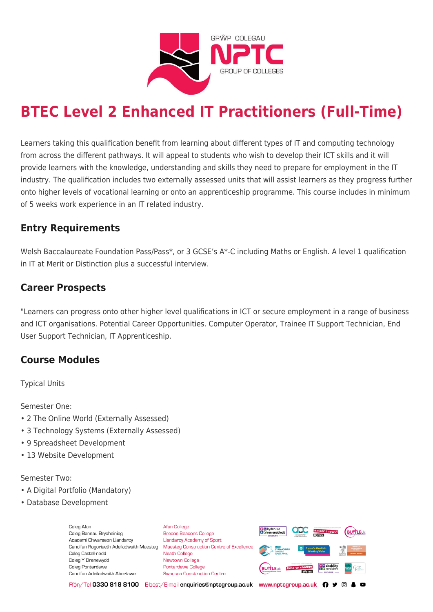

# **BTEC Level 2 Enhanced IT Practitioners (Full-Time)**

Learners taking this qualification benefit from learning about different types of IT and computing technology from across the different pathways. It will appeal to students who wish to develop their ICT skills and it will provide learners with the knowledge, understanding and skills they need to prepare for employment in the IT industry. The qualification includes two externally assessed units that will assist learners as they progress further onto higher levels of vocational learning or onto an apprenticeship programme. This course includes in minimum of 5 weeks work experience in an IT related industry.

## **Entry Requirements**

Welsh Baccalaureate Foundation Pass/Pass\*, or 3 GCSE's A\*-C including Maths or English. A level 1 qualification in IT at Merit or Distinction plus a successful interview.

## **Career Prospects**

"Learners can progress onto other higher level qualifications in ICT or secure employment in a range of business and ICT organisations. Potential Career Opportunities. Computer Operator, Trainee IT Support Technician, End User Support Technician, IT Apprenticeship.

## **Course Modules**

Typical Units

Semester One:

- 2 The Online World (Externally Assessed)
- 3 Technology Systems (Externally Assessed)
- 9 Spreadsheet Development
- 13 Website Development

#### Semester Two:

- A Digital Portfolio (Mandatory)
- Database Development

Coleg Afan Coleg Bannau Brycheiniog Academi Chwaraeon Llandarcy Canolfan Ragoriaeth Adeiladwaith Maesteg Coleg Castell-nedd Coleg Y Drenewydd Coleg Pontardawe Canolfan Adeiladwaith Abertawe

**Afan College** Brecon Beacons College **Llandarcy Academy of Sport** Maesteg Construction Centre of Excellence Neath College Newtown College Pontardawe College Swansea Construction Centre



Ffôn/Tel 0330 818 8100 E-bost/E-mail enquiries@nptcgroup.ac.uk www.nptcgroup.ac.uk ? • © \$